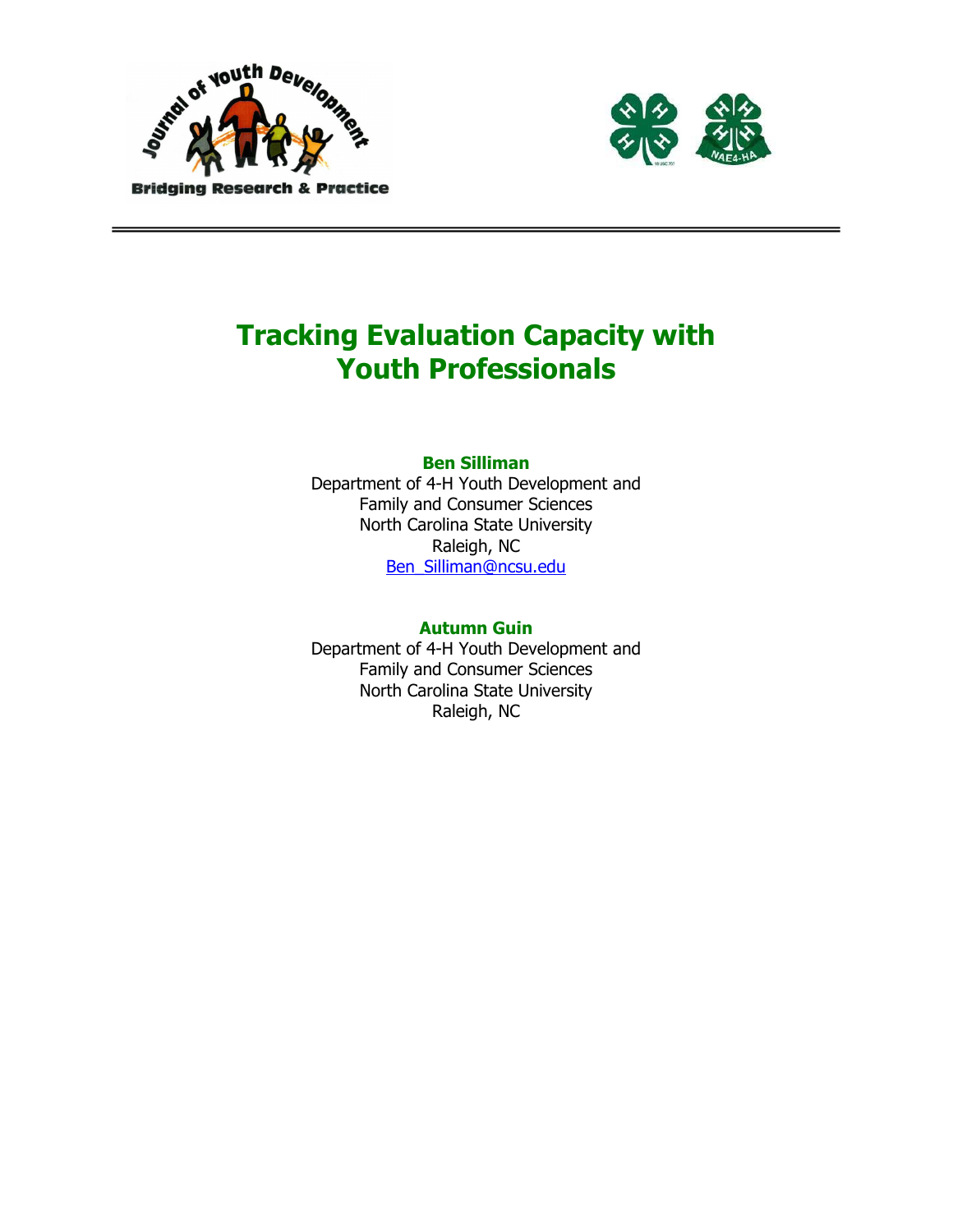



# Tracking Evaluation Capacity with Youth Professionals

# Ben Silliman

Department of 4-H Youth Development and Family and Consumer Sciences North Carolina State University Raleigh, NC Ben\_Silliman@ncsu.edu

#### Autumn Guin

Department of 4-H Youth Development and Family and Consumer Sciences North Carolina State University Raleigh, NC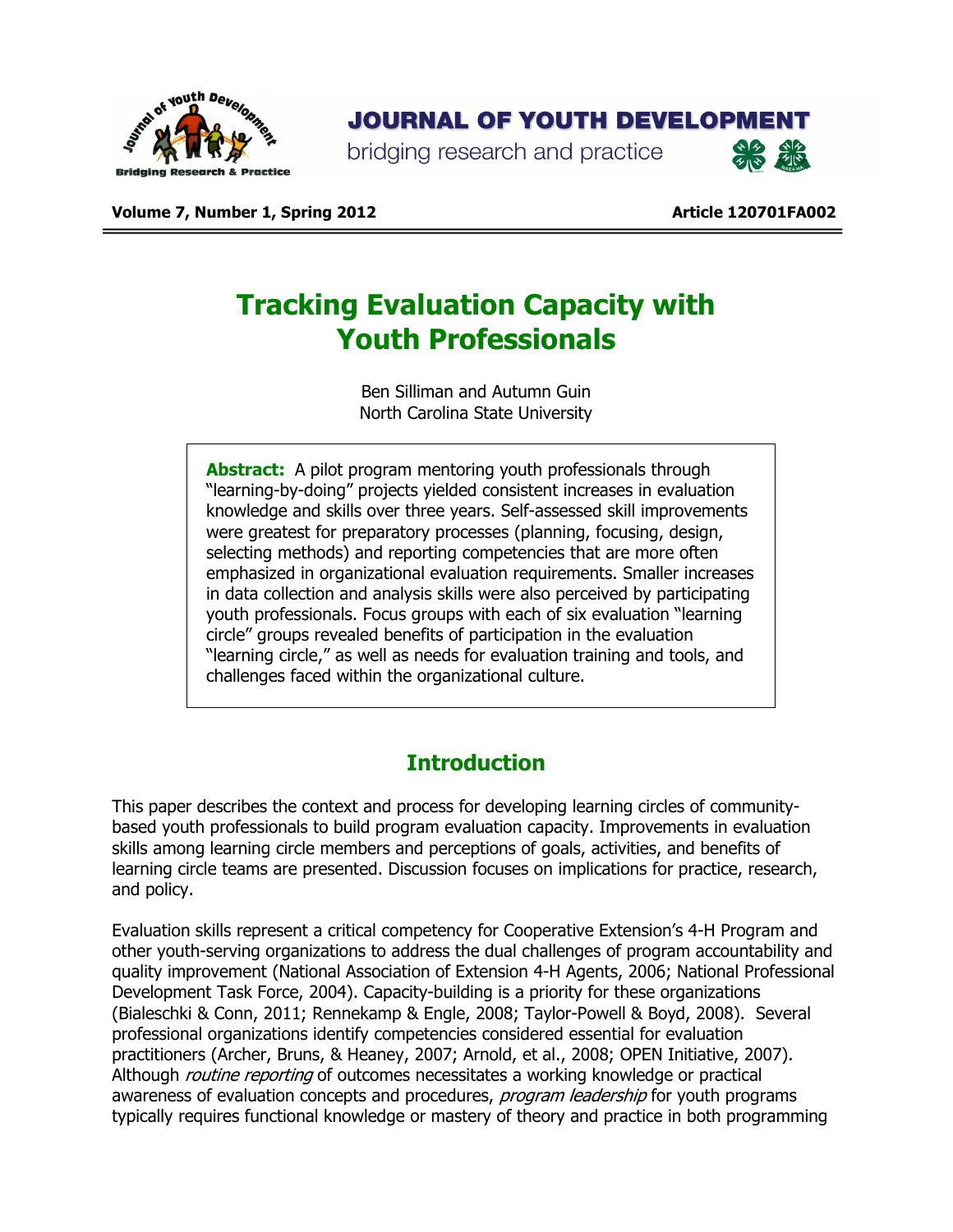

# **JOURNAL OF YOUTH DEVELOPMENT**

bridging research and practice



Volume 7, Number 1, Spring 2012 **Article 120701FA002** Article 120701FA002

# Tracking Evaluation Capacity with Youth Professionals

Ben Silliman and Autumn Guin North Carolina State University

Abstract: A pilot program mentoring youth professionals through "learning-by-doing" projects yielded consistent increases in evaluation knowledge and skills over three years. Self-assessed skill improvements were greatest for preparatory processes (planning, focusing, design, selecting methods) and reporting competencies that are more often emphasized in organizational evaluation requirements. Smaller increases in data collection and analysis skills were also perceived by participating youth professionals. Focus groups with each of six evaluation "learning circle" groups revealed benefits of participation in the evaluation "learning circle," as well as needs for evaluation training and tools, and challenges faced within the organizational culture.

# **Introduction**

This paper describes the context and process for developing learning circles of communitybased youth professionals to build program evaluation capacity. Improvements in evaluation skills among learning circle members and perceptions of goals, activities, and benefits of learning circle teams are presented. Discussion focuses on implications for practice, research, and policy.

Evaluation skills represent a critical competency for Cooperative Extension's 4-H Program and other youth-serving organizations to address the dual challenges of program accountability and quality improvement (National Association of Extension 4-H Agents, 2006; National Professional Development Task Force, 2004). Capacity-building is a priority for these organizations (Bialeschki & Conn, 2011; Rennekamp & Engle, 2008; Taylor-Powell & Boyd, 2008). Several professional organizations identify competencies considered essential for evaluation practitioners (Archer, Bruns, & Heaney, 2007; Arnold, et al., 2008; OPEN Initiative, 2007). Although *routine reporting* of outcomes necessitates a working knowledge or practical awareness of evaluation concepts and procedures, program leadership for youth programs typically requires functional knowledge or mastery of theory and practice in both programming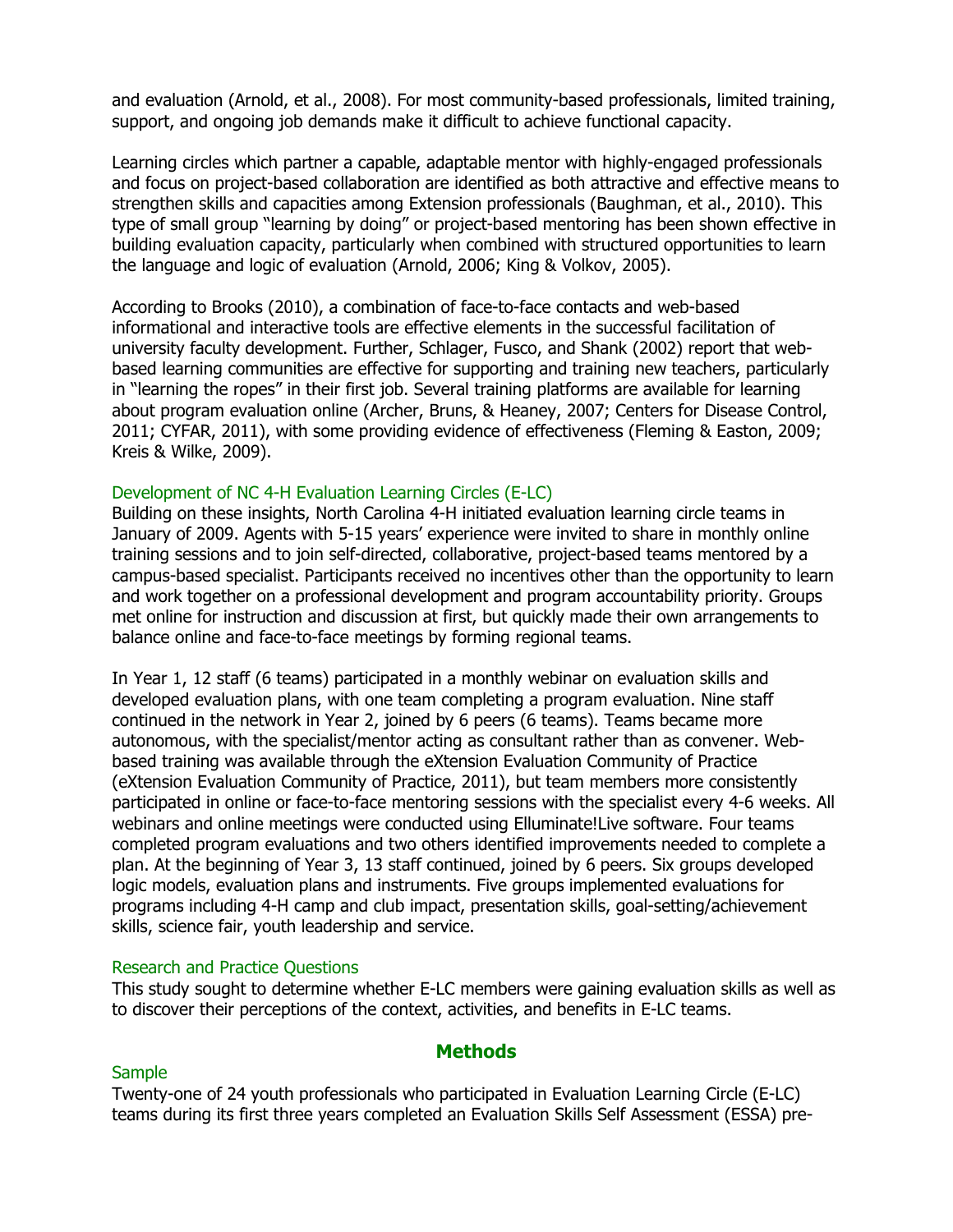and evaluation (Arnold, et al., 2008). For most community-based professionals, limited training, support, and ongoing job demands make it difficult to achieve functional capacity.

Learning circles which partner a capable, adaptable mentor with highly-engaged professionals and focus on project-based collaboration are identified as both attractive and effective means to strengthen skills and capacities among Extension professionals (Baughman, et al., 2010). This type of small group "learning by doing" or project-based mentoring has been shown effective in building evaluation capacity, particularly when combined with structured opportunities to learn the language and logic of evaluation (Arnold, 2006; King & Volkov, 2005).

According to Brooks (2010), a combination of face-to-face contacts and web-based informational and interactive tools are effective elements in the successful facilitation of university faculty development. Further, Schlager, Fusco, and Shank (2002) report that webbased learning communities are effective for supporting and training new teachers, particularly in "learning the ropes" in their first job. Several training platforms are available for learning about program evaluation online (Archer, Bruns, & Heaney, 2007; Centers for Disease Control, 2011; CYFAR, 2011), with some providing evidence of effectiveness (Fleming & Easton, 2009; Kreis & Wilke, 2009).

### Development of NC 4-H Evaluation Learning Circles (E-LC)

Building on these insights, North Carolina 4-H initiated evaluation learning circle teams in January of 2009. Agents with 5-15 years' experience were invited to share in monthly online training sessions and to join self-directed, collaborative, project-based teams mentored by a campus-based specialist. Participants received no incentives other than the opportunity to learn and work together on a professional development and program accountability priority. Groups met online for instruction and discussion at first, but quickly made their own arrangements to balance online and face-to-face meetings by forming regional teams.

In Year 1, 12 staff (6 teams) participated in a monthly webinar on evaluation skills and developed evaluation plans, with one team completing a program evaluation. Nine staff continued in the network in Year 2, joined by 6 peers (6 teams). Teams became more autonomous, with the specialist/mentor acting as consultant rather than as convener. Webbased training was available through the eXtension Evaluation Community of Practice (eXtension Evaluation Community of Practice, 2011), but team members more consistently participated in online or face-to-face mentoring sessions with the specialist every 4-6 weeks. All webinars and online meetings were conducted using Elluminate!Live software. Four teams completed program evaluations and two others identified improvements needed to complete a plan. At the beginning of Year 3, 13 staff continued, joined by 6 peers. Six groups developed logic models, evaluation plans and instruments. Five groups implemented evaluations for programs including 4-H camp and club impact, presentation skills, goal-setting/achievement skills, science fair, youth leadership and service.

#### Research and Practice Questions

This study sought to determine whether E-LC members were gaining evaluation skills as well as to discover their perceptions of the context, activities, and benefits in E-LC teams.

# **Methods**

#### **Sample**

Twenty-one of 24 youth professionals who participated in Evaluation Learning Circle (E-LC) teams during its first three years completed an Evaluation Skills Self Assessment (ESSA) pre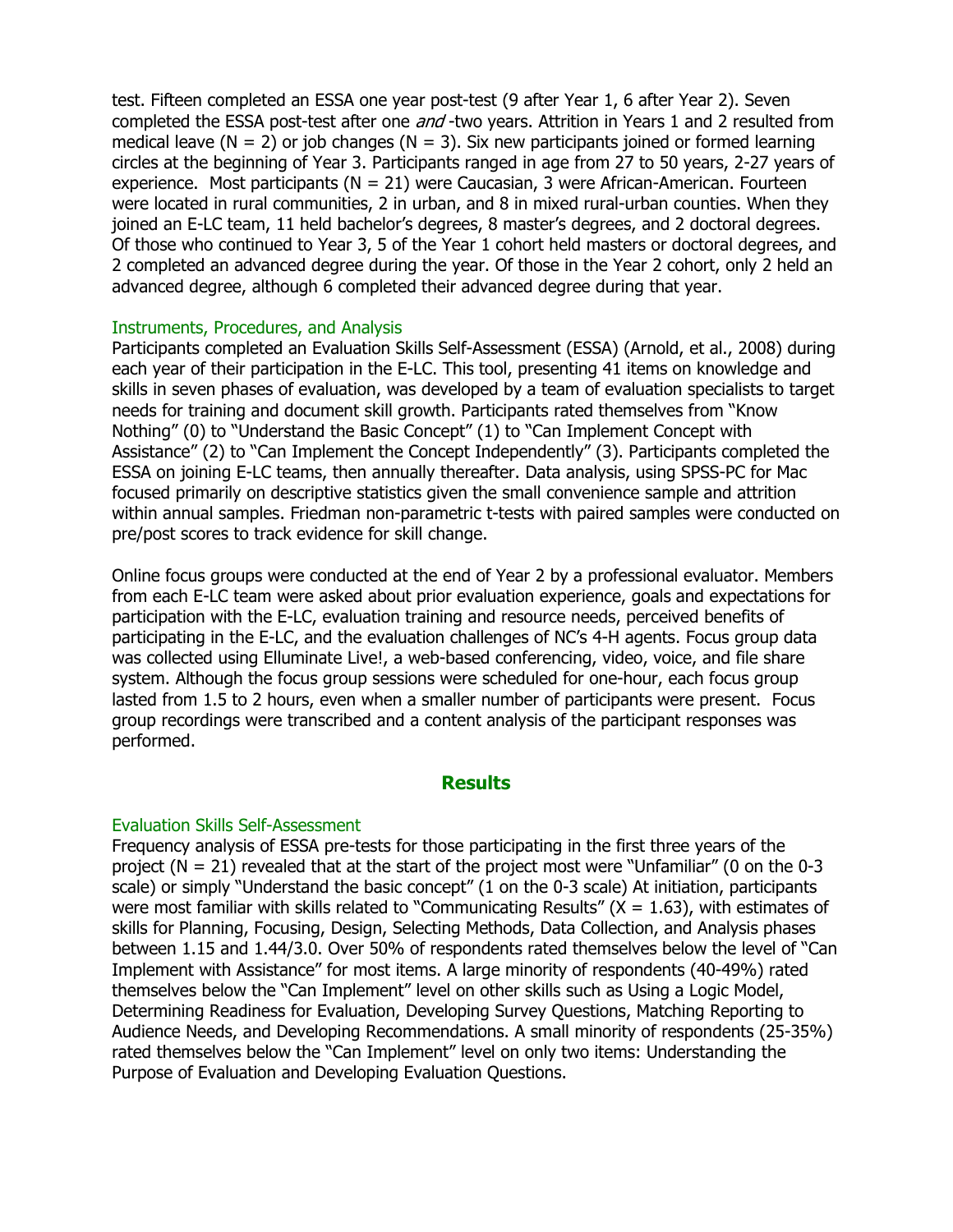test. Fifteen completed an ESSA one year post-test (9 after Year 1, 6 after Year 2). Seven completed the ESSA post-test after one *and* -two years. Attrition in Years 1 and 2 resulted from medical leave ( $N = 2$ ) or job changes ( $N = 3$ ). Six new participants joined or formed learning circles at the beginning of Year 3. Participants ranged in age from 27 to 50 years, 2-27 years of experience. Most participants ( $N = 21$ ) were Caucasian, 3 were African-American. Fourteen were located in rural communities, 2 in urban, and 8 in mixed rural-urban counties. When they joined an E-LC team, 11 held bachelor's degrees, 8 master's degrees, and 2 doctoral degrees. Of those who continued to Year 3, 5 of the Year 1 cohort held masters or doctoral degrees, and 2 completed an advanced degree during the year. Of those in the Year 2 cohort, only 2 held an advanced degree, although 6 completed their advanced degree during that year.

### Instruments, Procedures, and Analysis

Participants completed an Evaluation Skills Self-Assessment (ESSA) (Arnold, et al., 2008) during each year of their participation in the E-LC. This tool, presenting 41 items on knowledge and skills in seven phases of evaluation, was developed by a team of evaluation specialists to target needs for training and document skill growth. Participants rated themselves from "Know Nothing" (0) to "Understand the Basic Concept" (1) to "Can Implement Concept with Assistance" (2) to "Can Implement the Concept Independently" (3). Participants completed the ESSA on joining E-LC teams, then annually thereafter. Data analysis, using SPSS-PC for Mac focused primarily on descriptive statistics given the small convenience sample and attrition within annual samples. Friedman non-parametric t-tests with paired samples were conducted on pre/post scores to track evidence for skill change.

Online focus groups were conducted at the end of Year 2 by a professional evaluator. Members from each E-LC team were asked about prior evaluation experience, goals and expectations for participation with the E-LC, evaluation training and resource needs, perceived benefits of participating in the E-LC, and the evaluation challenges of NC's 4-H agents. Focus group data was collected using Elluminate Live!, a web-based conferencing, video, voice, and file share system. Although the focus group sessions were scheduled for one-hour, each focus group lasted from 1.5 to 2 hours, even when a smaller number of participants were present. Focus group recordings were transcribed and a content analysis of the participant responses was performed.

# **Results**

# Evaluation Skills Self-Assessment

Frequency analysis of ESSA pre-tests for those participating in the first three years of the project (N = 21) revealed that at the start of the project most were "Unfamiliar" (0 on the 0-3 scale) or simply "Understand the basic concept" (1 on the 0-3 scale) At initiation, participants were most familiar with skills related to "Communicating Results" ( $X = 1.63$ ), with estimates of skills for Planning, Focusing, Design, Selecting Methods, Data Collection, and Analysis phases between 1.15 and 1.44/3.0. Over 50% of respondents rated themselves below the level of "Can Implement with Assistance" for most items. A large minority of respondents (40-49%) rated themselves below the "Can Implement" level on other skills such as Using a Logic Model, Determining Readiness for Evaluation, Developing Survey Questions, Matching Reporting to Audience Needs, and Developing Recommendations. A small minority of respondents (25-35%) rated themselves below the "Can Implement" level on only two items: Understanding the Purpose of Evaluation and Developing Evaluation Questions.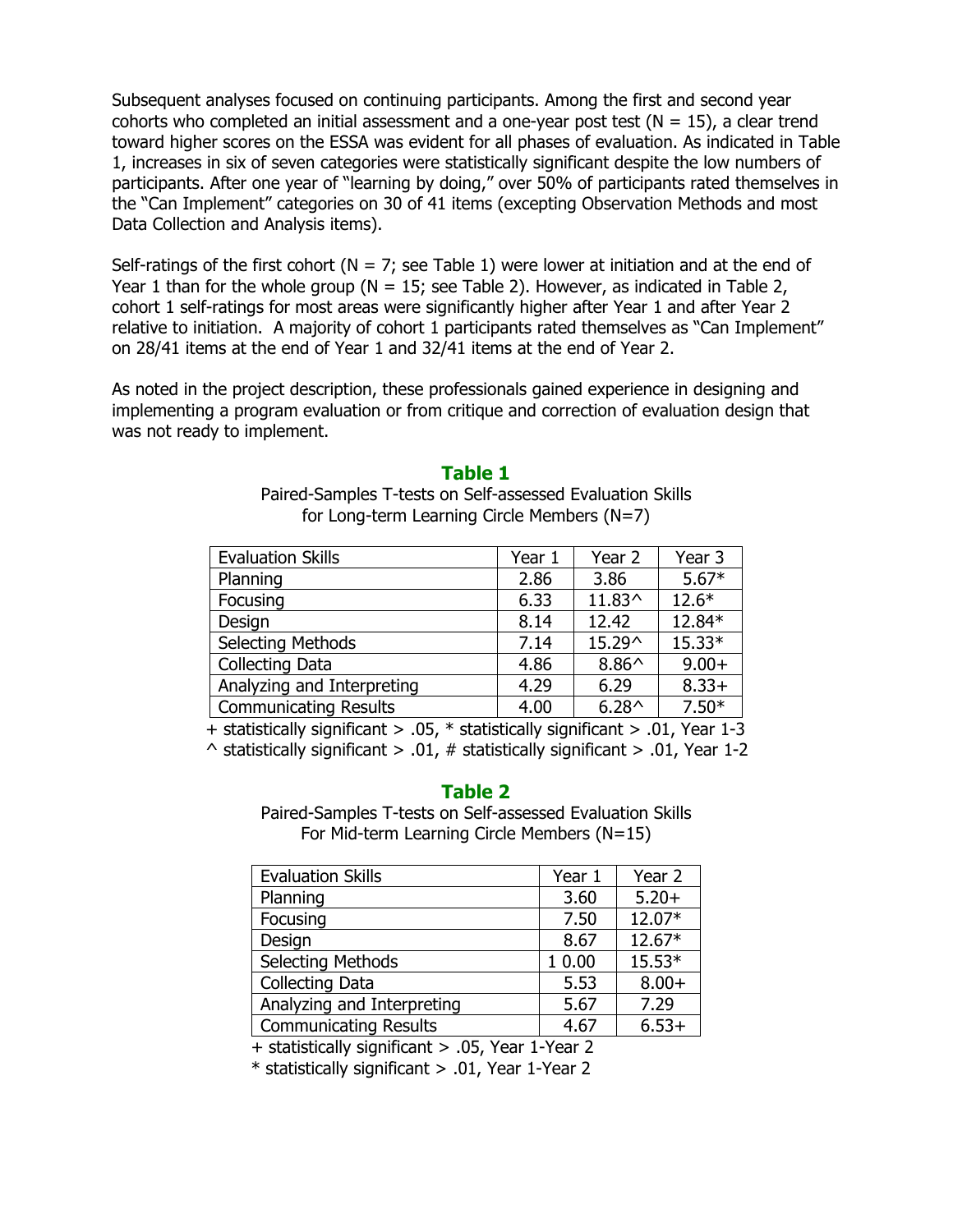Subsequent analyses focused on continuing participants. Among the first and second year cohorts who completed an initial assessment and a one-year post test ( $N = 15$ ), a clear trend toward higher scores on the ESSA was evident for all phases of evaluation. As indicated in Table 1, increases in six of seven categories were statistically significant despite the low numbers of participants. After one year of "learning by doing," over 50% of participants rated themselves in the "Can Implement" categories on 30 of 41 items (excepting Observation Methods and most Data Collection and Analysis items).

Self-ratings of the first cohort ( $N = 7$ ; see Table 1) were lower at initiation and at the end of Year 1 than for the whole group ( $N = 15$ ; see Table 2). However, as indicated in Table 2, cohort 1 self-ratings for most areas were significantly higher after Year 1 and after Year 2 relative to initiation. A majority of cohort 1 participants rated themselves as "Can Implement" on 28/41 items at the end of Year 1 and 32/41 items at the end of Year 2.

As noted in the project description, these professionals gained experience in designing and implementing a program evaluation or from critique and correction of evaluation design that was not ready to implement.

# Table 1

Paired-Samples T-tests on Self-assessed Evaluation Skills for Long-term Learning Circle Members (N=7)

| <b>Evaluation Skills</b>     | Year 1 | Year 2         | Year 3   |
|------------------------------|--------|----------------|----------|
| Planning                     | 2.86   | 3.86           | $5.67*$  |
| Focusing                     | 6.33   | 11.83^         | $12.6*$  |
| Design                       | 8.14   | 12.42          | 12.84*   |
| <b>Selecting Methods</b>     | 7.14   | 15.29^         | $15.33*$ |
| Collecting Data              | 4.86   | $8.86^{\circ}$ | $9.00+$  |
| Analyzing and Interpreting   | 4.29   | 6.29           | $8.33+$  |
| <b>Communicating Results</b> | 4.00   | $6.28^{\circ}$ | $7.50*$  |

+ statistically significant > .05, \* statistically significant > .01, Year 1-3

 $\land$  statistically significant > .01, # statistically significant > .01, Year 1-2

# Table 2

Paired-Samples T-tests on Self-assessed Evaluation Skills For Mid-term Learning Circle Members (N=15)

| <b>Evaluation Skills</b>     | Year 1 | Year 2  |
|------------------------------|--------|---------|
| Planning                     | 3.60   | $5.20+$ |
| Focusing                     | 7.50   | 12.07*  |
| Design                       | 8.67   | 12.67*  |
| <b>Selecting Methods</b>     | 1 0.00 | 15.53*  |
| Collecting Data              | 5.53   | $8.00+$ |
| Analyzing and Interpreting   | 5.67   | 7.29    |
| <b>Communicating Results</b> | 4.67   | $6.53+$ |

+ statistically significant > .05, Year 1-Year 2

\* statistically significant > .01, Year 1-Year 2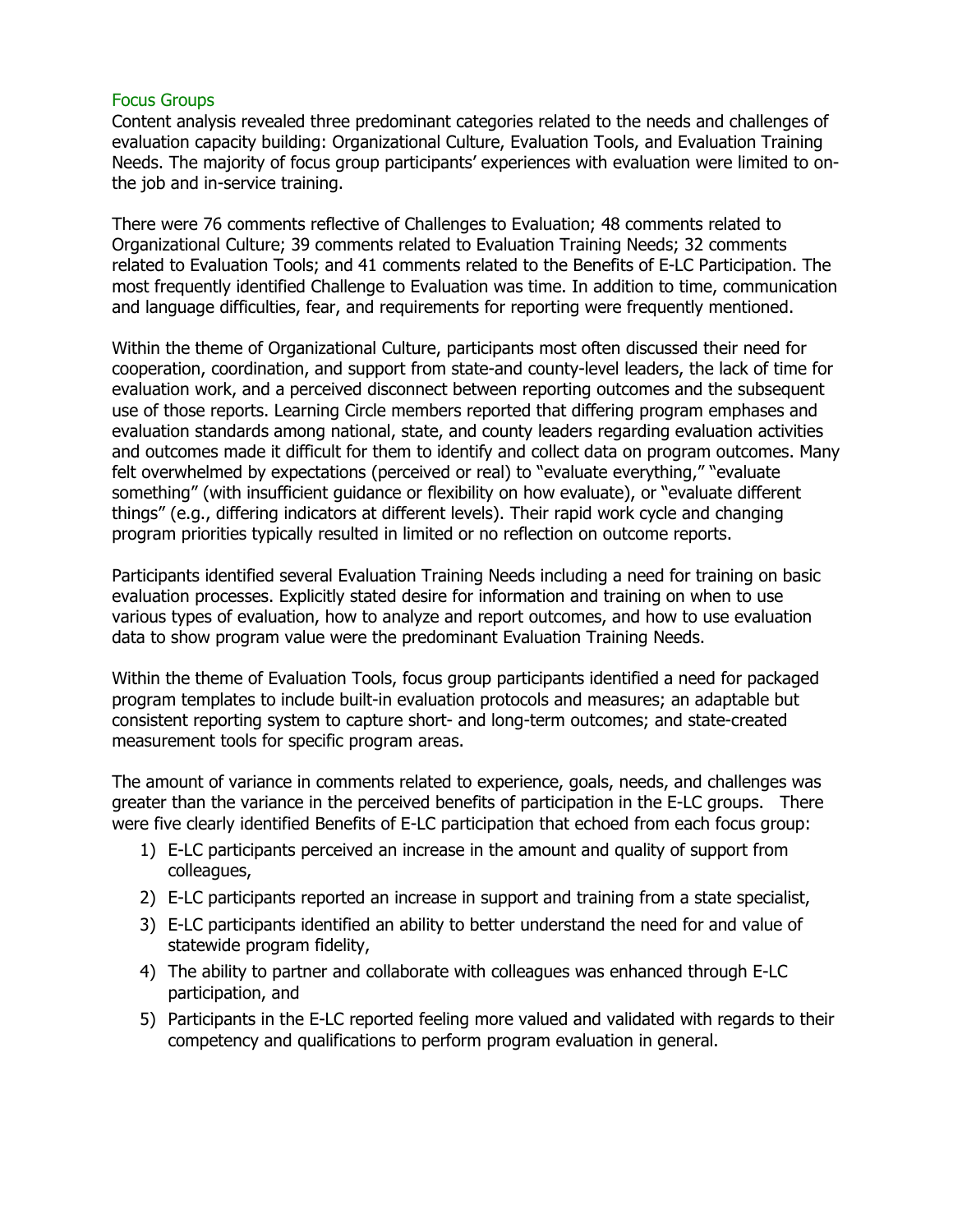### Focus Groups

Content analysis revealed three predominant categories related to the needs and challenges of evaluation capacity building: Organizational Culture, Evaluation Tools, and Evaluation Training Needs. The majority of focus group participants' experiences with evaluation were limited to onthe job and in-service training.

There were 76 comments reflective of Challenges to Evaluation; 48 comments related to Organizational Culture; 39 comments related to Evaluation Training Needs; 32 comments related to Evaluation Tools; and 41 comments related to the Benefits of E-LC Participation. The most frequently identified Challenge to Evaluation was time. In addition to time, communication and language difficulties, fear, and requirements for reporting were frequently mentioned.

Within the theme of Organizational Culture, participants most often discussed their need for cooperation, coordination, and support from state-and county-level leaders, the lack of time for evaluation work, and a perceived disconnect between reporting outcomes and the subsequent use of those reports. Learning Circle members reported that differing program emphases and evaluation standards among national, state, and county leaders regarding evaluation activities and outcomes made it difficult for them to identify and collect data on program outcomes. Many felt overwhelmed by expectations (perceived or real) to "evaluate everything," "evaluate something" (with insufficient guidance or flexibility on how evaluate), or "evaluate different things" (e.g., differing indicators at different levels). Their rapid work cycle and changing program priorities typically resulted in limited or no reflection on outcome reports.

Participants identified several Evaluation Training Needs including a need for training on basic evaluation processes. Explicitly stated desire for information and training on when to use various types of evaluation, how to analyze and report outcomes, and how to use evaluation data to show program value were the predominant Evaluation Training Needs.

Within the theme of Evaluation Tools, focus group participants identified a need for packaged program templates to include built-in evaluation protocols and measures; an adaptable but consistent reporting system to capture short- and long-term outcomes; and state-created measurement tools for specific program areas.

The amount of variance in comments related to experience, goals, needs, and challenges was greater than the variance in the perceived benefits of participation in the E-LC groups. There were five clearly identified Benefits of E-LC participation that echoed from each focus group:

- 1) E-LC participants perceived an increase in the amount and quality of support from colleagues,
- 2) E-LC participants reported an increase in support and training from a state specialist,
- 3) E-LC participants identified an ability to better understand the need for and value of statewide program fidelity,
- 4) The ability to partner and collaborate with colleagues was enhanced through E-LC participation, and
- 5) Participants in the E-LC reported feeling more valued and validated with regards to their competency and qualifications to perform program evaluation in general.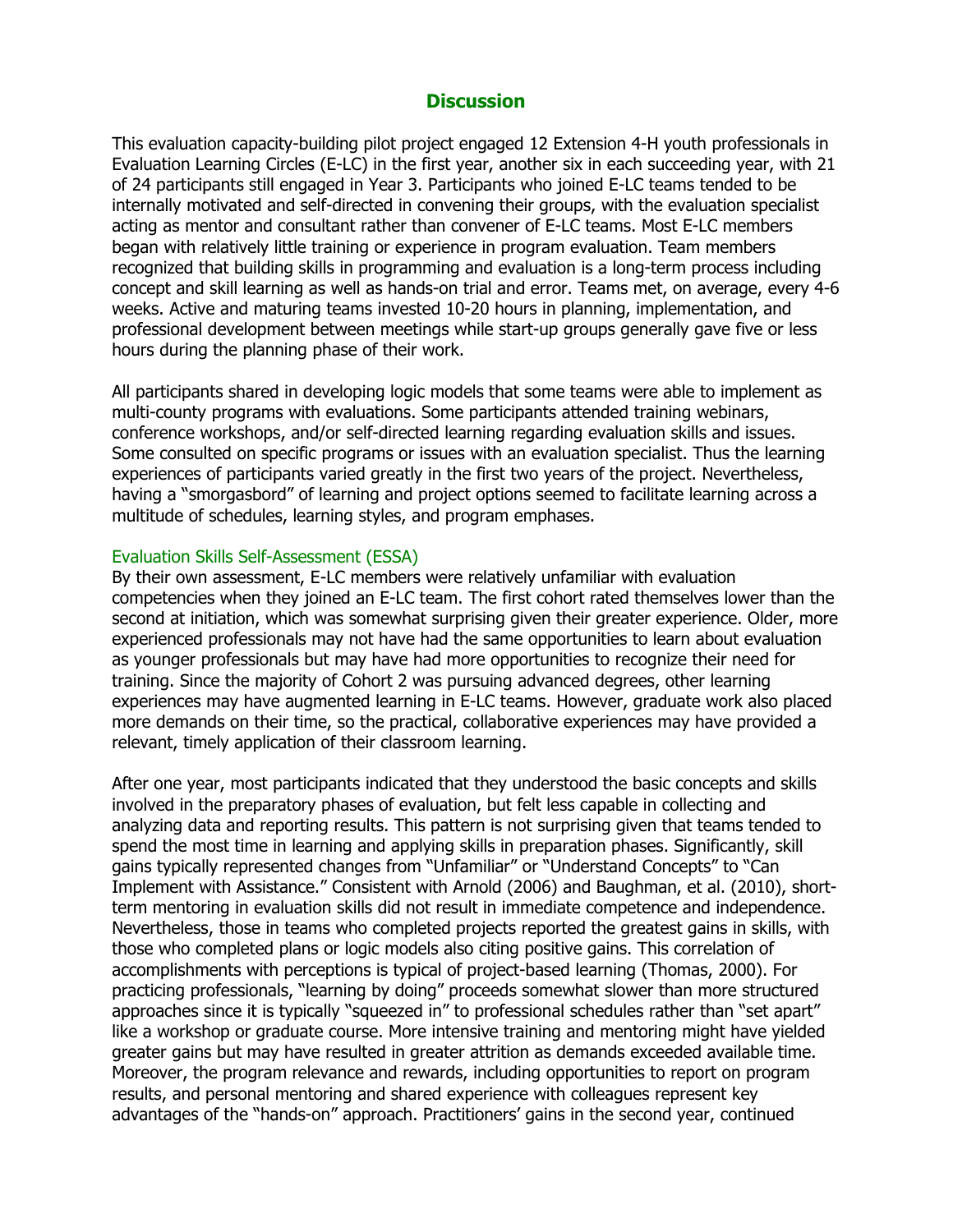# **Discussion**

This evaluation capacity-building pilot project engaged 12 Extension 4-H youth professionals in Evaluation Learning Circles (E-LC) in the first year, another six in each succeeding year, with 21 of 24 participants still engaged in Year 3. Participants who joined E-LC teams tended to be internally motivated and self-directed in convening their groups, with the evaluation specialist acting as mentor and consultant rather than convener of E-LC teams. Most E-LC members began with relatively little training or experience in program evaluation. Team members recognized that building skills in programming and evaluation is a long-term process including concept and skill learning as well as hands-on trial and error. Teams met, on average, every 4-6 weeks. Active and maturing teams invested 10-20 hours in planning, implementation, and professional development between meetings while start-up groups generally gave five or less hours during the planning phase of their work.

All participants shared in developing logic models that some teams were able to implement as multi-county programs with evaluations. Some participants attended training webinars, conference workshops, and/or self-directed learning regarding evaluation skills and issues. Some consulted on specific programs or issues with an evaluation specialist. Thus the learning experiences of participants varied greatly in the first two years of the project. Nevertheless, having a "smorgasbord" of learning and project options seemed to facilitate learning across a multitude of schedules, learning styles, and program emphases.

#### Evaluation Skills Self-Assessment (ESSA)

By their own assessment, E-LC members were relatively unfamiliar with evaluation competencies when they joined an E-LC team. The first cohort rated themselves lower than the second at initiation, which was somewhat surprising given their greater experience. Older, more experienced professionals may not have had the same opportunities to learn about evaluation as younger professionals but may have had more opportunities to recognize their need for training. Since the majority of Cohort 2 was pursuing advanced degrees, other learning experiences may have augmented learning in E-LC teams. However, graduate work also placed more demands on their time, so the practical, collaborative experiences may have provided a relevant, timely application of their classroom learning.

After one year, most participants indicated that they understood the basic concepts and skills involved in the preparatory phases of evaluation, but felt less capable in collecting and analyzing data and reporting results. This pattern is not surprising given that teams tended to spend the most time in learning and applying skills in preparation phases. Significantly, skill gains typically represented changes from "Unfamiliar" or "Understand Concepts" to "Can Implement with Assistance." Consistent with Arnold (2006) and Baughman, et al. (2010), shortterm mentoring in evaluation skills did not result in immediate competence and independence. Nevertheless, those in teams who completed projects reported the greatest gains in skills, with those who completed plans or logic models also citing positive gains. This correlation of accomplishments with perceptions is typical of project-based learning (Thomas, 2000). For practicing professionals, "learning by doing" proceeds somewhat slower than more structured approaches since it is typically "squeezed in" to professional schedules rather than "set apart" like a workshop or graduate course. More intensive training and mentoring might have yielded greater gains but may have resulted in greater attrition as demands exceeded available time. Moreover, the program relevance and rewards, including opportunities to report on program results, and personal mentoring and shared experience with colleagues represent key advantages of the "hands-on" approach. Practitioners' gains in the second year, continued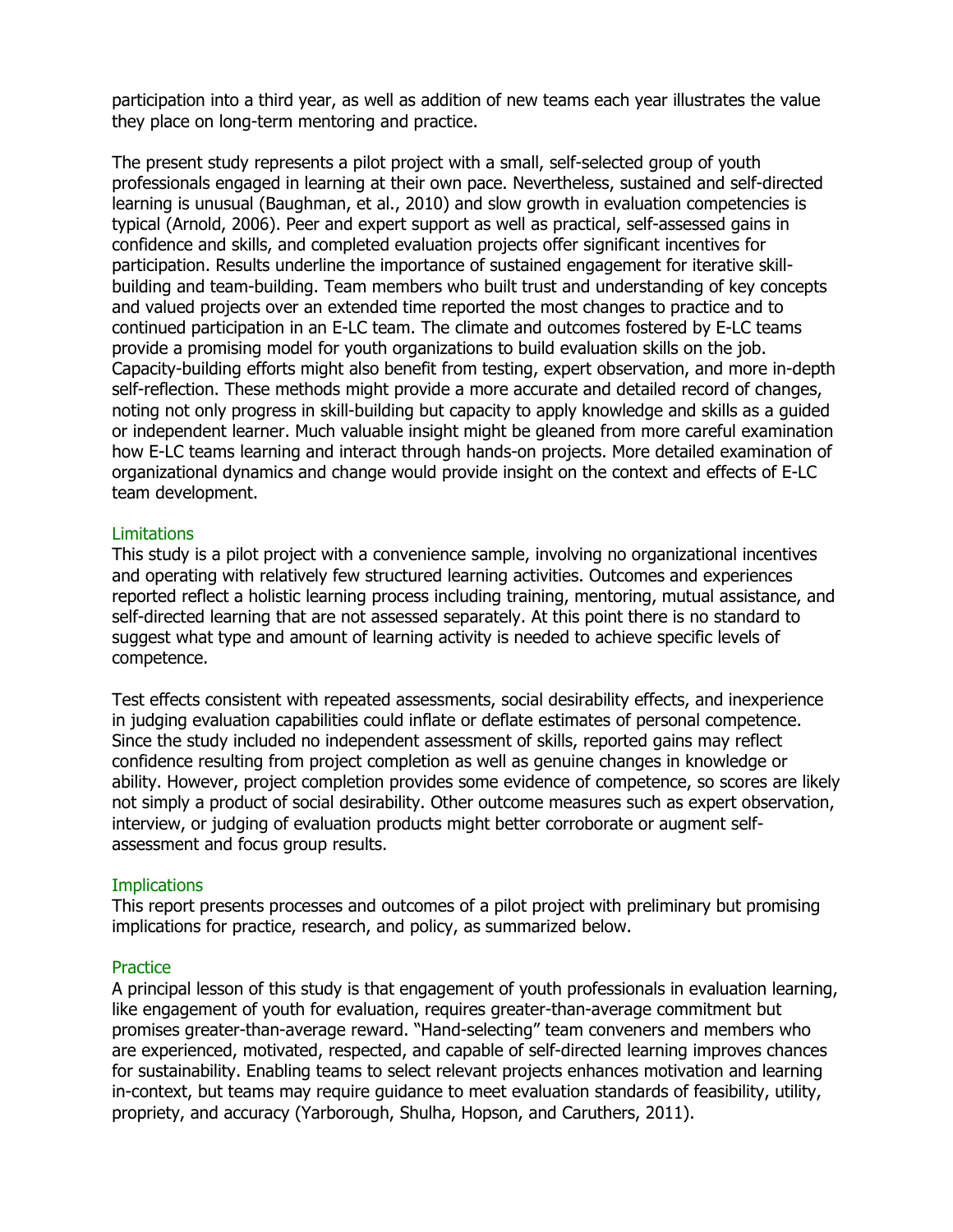participation into a third year, as well as addition of new teams each year illustrates the value they place on long-term mentoring and practice.

The present study represents a pilot project with a small, self-selected group of youth professionals engaged in learning at their own pace. Nevertheless, sustained and self-directed learning is unusual (Baughman, et al., 2010) and slow growth in evaluation competencies is typical (Arnold, 2006). Peer and expert support as well as practical, self-assessed gains in confidence and skills, and completed evaluation projects offer significant incentives for participation. Results underline the importance of sustained engagement for iterative skillbuilding and team-building. Team members who built trust and understanding of key concepts and valued projects over an extended time reported the most changes to practice and to continued participation in an E-LC team. The climate and outcomes fostered by E-LC teams provide a promising model for youth organizations to build evaluation skills on the job. Capacity-building efforts might also benefit from testing, expert observation, and more in-depth self-reflection. These methods might provide a more accurate and detailed record of changes, noting not only progress in skill-building but capacity to apply knowledge and skills as a guided or independent learner. Much valuable insight might be gleaned from more careful examination how E-LC teams learning and interact through hands-on projects. More detailed examination of organizational dynamics and change would provide insight on the context and effects of E-LC team development.

### **Limitations**

This study is a pilot project with a convenience sample, involving no organizational incentives and operating with relatively few structured learning activities. Outcomes and experiences reported reflect a holistic learning process including training, mentoring, mutual assistance, and self-directed learning that are not assessed separately. At this point there is no standard to suggest what type and amount of learning activity is needed to achieve specific levels of competence.

Test effects consistent with repeated assessments, social desirability effects, and inexperience in judging evaluation capabilities could inflate or deflate estimates of personal competence. Since the study included no independent assessment of skills, reported gains may reflect confidence resulting from project completion as well as genuine changes in knowledge or ability. However, project completion provides some evidence of competence, so scores are likely not simply a product of social desirability. Other outcome measures such as expert observation, interview, or judging of evaluation products might better corroborate or augment selfassessment and focus group results.

# **Implications**

This report presents processes and outcomes of a pilot project with preliminary but promising implications for practice, research, and policy, as summarized below.

#### **Practice**

A principal lesson of this study is that engagement of youth professionals in evaluation learning, like engagement of youth for evaluation, requires greater-than-average commitment but promises greater-than-average reward. "Hand-selecting" team conveners and members who are experienced, motivated, respected, and capable of self-directed learning improves chances for sustainability. Enabling teams to select relevant projects enhances motivation and learning in-context, but teams may require guidance to meet evaluation standards of feasibility, utility, propriety, and accuracy (Yarborough, Shulha, Hopson, and Caruthers, 2011).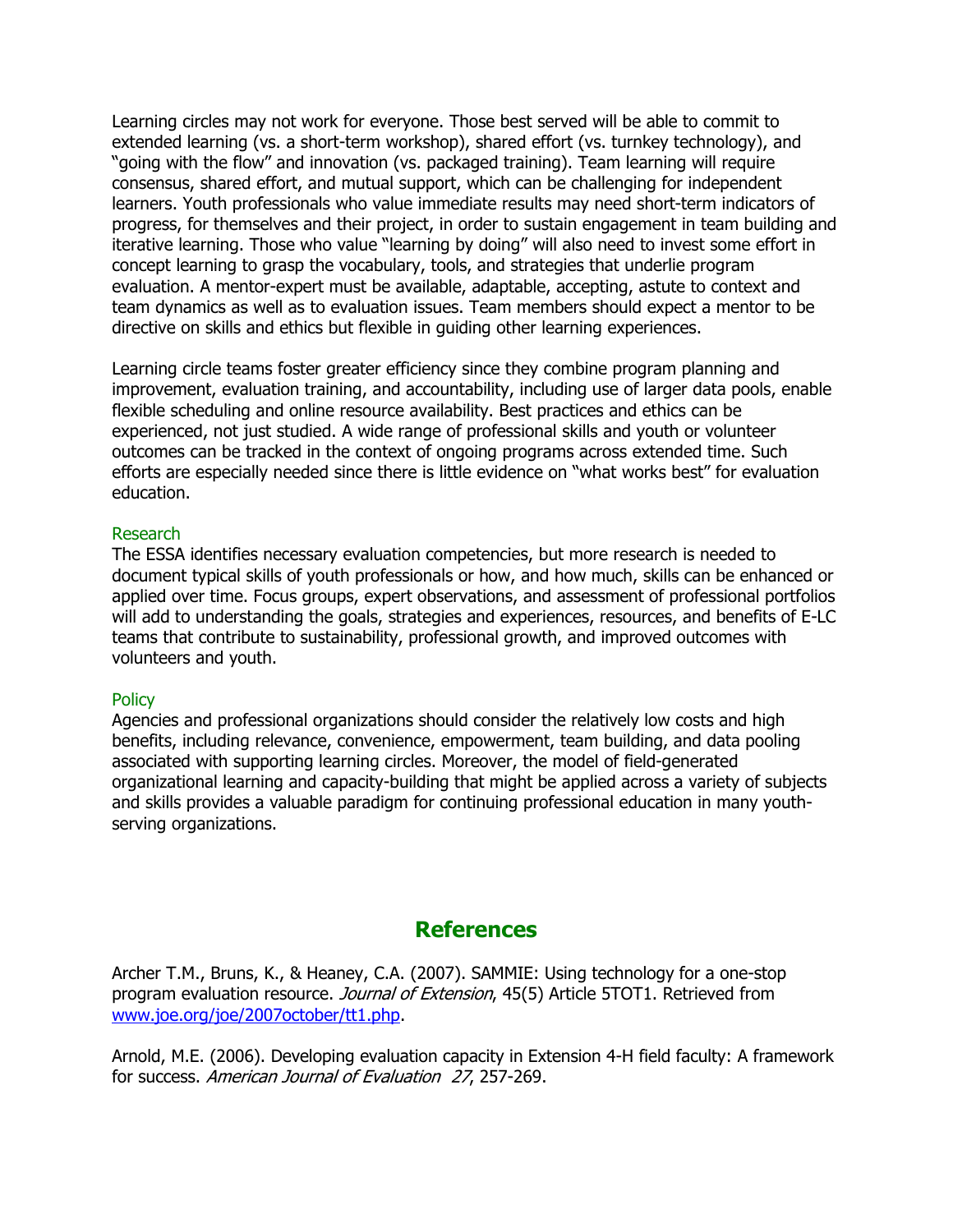Learning circles may not work for everyone. Those best served will be able to commit to extended learning (vs. a short-term workshop), shared effort (vs. turnkey technology), and "going with the flow" and innovation (vs. packaged training). Team learning will require consensus, shared effort, and mutual support, which can be challenging for independent learners. Youth professionals who value immediate results may need short-term indicators of progress, for themselves and their project, in order to sustain engagement in team building and iterative learning. Those who value "learning by doing" will also need to invest some effort in concept learning to grasp the vocabulary, tools, and strategies that underlie program evaluation. A mentor-expert must be available, adaptable, accepting, astute to context and team dynamics as well as to evaluation issues. Team members should expect a mentor to be directive on skills and ethics but flexible in guiding other learning experiences.

Learning circle teams foster greater efficiency since they combine program planning and improvement, evaluation training, and accountability, including use of larger data pools, enable flexible scheduling and online resource availability. Best practices and ethics can be experienced, not just studied. A wide range of professional skills and youth or volunteer outcomes can be tracked in the context of ongoing programs across extended time. Such efforts are especially needed since there is little evidence on "what works best" for evaluation education.

### Research

The ESSA identifies necessary evaluation competencies, but more research is needed to document typical skills of youth professionals or how, and how much, skills can be enhanced or applied over time. Focus groups, expert observations, and assessment of professional portfolios will add to understanding the goals, strategies and experiences, resources, and benefits of E-LC teams that contribute to sustainability, professional growth, and improved outcomes with volunteers and youth.

#### **Policy**

Agencies and professional organizations should consider the relatively low costs and high benefits, including relevance, convenience, empowerment, team building, and data pooling associated with supporting learning circles. Moreover, the model of field-generated organizational learning and capacity-building that might be applied across a variety of subjects and skills provides a valuable paradigm for continuing professional education in many youthserving organizations.

# References

Archer T.M., Bruns, K., & Heaney, C.A. (2007). SAMMIE: Using technology for a one-stop program evaluation resource. Journal of Extension, 45(5) Article 5TOT1. Retrieved from www.joe.org/joe/2007october/tt1.php.

Arnold, M.E. (2006). Developing evaluation capacity in Extension 4-H field faculty: A framework for success. American Journal of Evaluation 27, 257-269.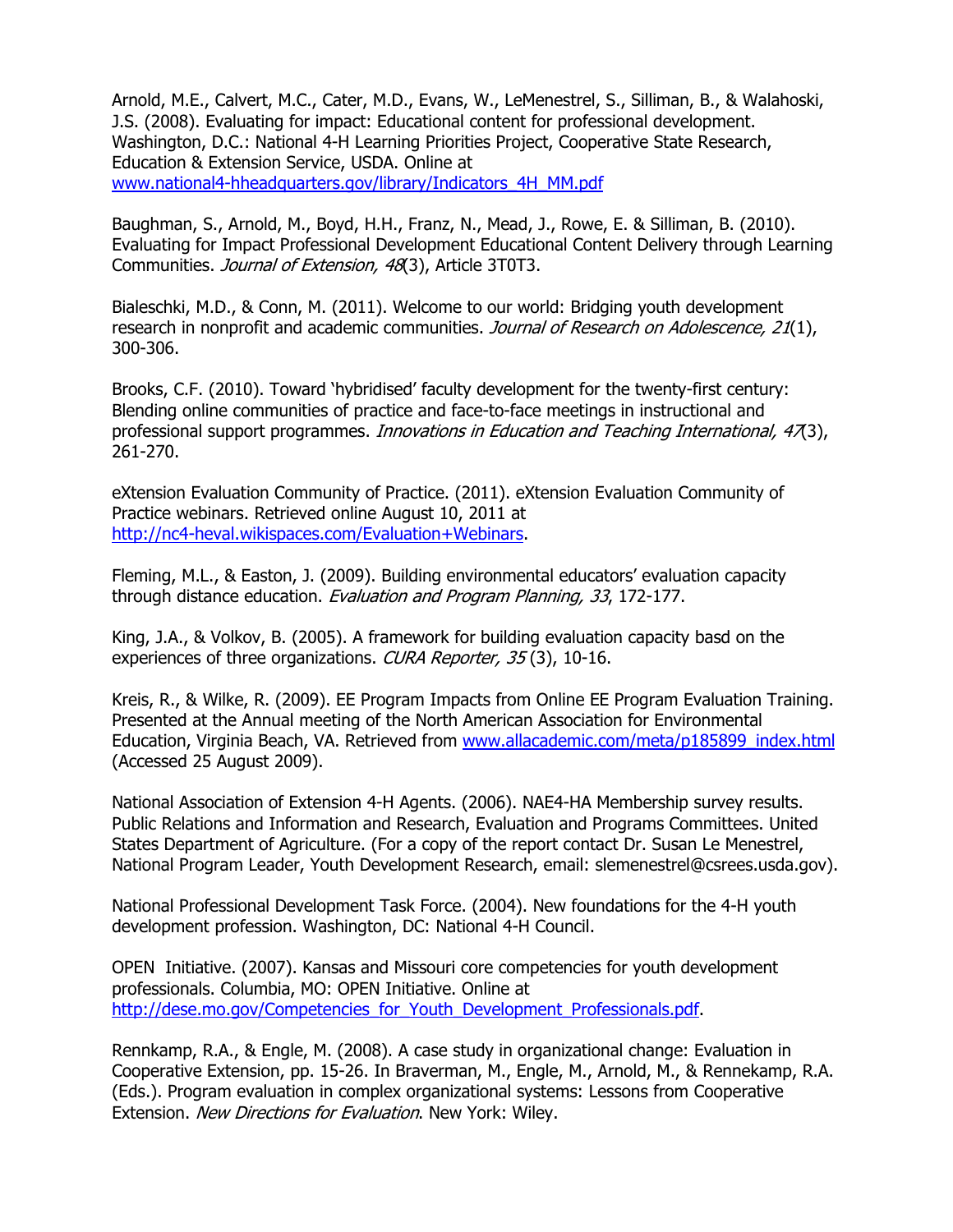Arnold, M.E., Calvert, M.C., Cater, M.D., Evans, W., LeMenestrel, S., Silliman, B., & Walahoski, J.S. (2008). Evaluating for impact: Educational content for professional development. Washington, D.C.: National 4-H Learning Priorities Project, Cooperative State Research, Education & Extension Service, USDA. Online at www.national4-hheadquarters.gov/library/Indicators\_4H\_MM.pdf

Baughman, S., Arnold, M., Boyd, H.H., Franz, N., Mead, J., Rowe, E. & Silliman, B. (2010). Evaluating for Impact Professional Development Educational Content Delivery through Learning Communities. Journal of Extension, 48(3), Article 3T0T3.

Bialeschki, M.D., & Conn, M. (2011). Welcome to our world: Bridging youth development research in nonprofit and academic communities. Journal of Research on Adolescence, 21(1), 300-306.

Brooks, C.F. (2010). Toward 'hybridised' faculty development for the twenty-first century: Blending online communities of practice and face-to-face meetings in instructional and professional support programmes. *Innovations in Education and Teaching International, 47*(3), 261-270.

eXtension Evaluation Community of Practice. (2011). eXtension Evaluation Community of Practice webinars. Retrieved online August 10, 2011 at http://nc4-heval.wikispaces.com/Evaluation+Webinars.

Fleming, M.L., & Easton, J. (2009). Building environmental educators' evaluation capacity through distance education. Evaluation and Program Planning, 33, 172-177.

King, J.A., & Volkov, B. (2005). A framework for building evaluation capacity basd on the experiences of three organizations. CURA Reporter, 35(3), 10-16.

Kreis, R., & Wilke, R. (2009). EE Program Impacts from Online EE Program Evaluation Training. Presented at the Annual meeting of the North American Association for Environmental Education, Virginia Beach, VA. Retrieved from www.allacademic.com/meta/p185899\_index.html (Accessed 25 August 2009).

National Association of Extension 4-H Agents. (2006). NAE4-HA Membership survey results. Public Relations and Information and Research, Evaluation and Programs Committees. United States Department of Agriculture. (For a copy of the report contact Dr. Susan Le Menestrel, National Program Leader, Youth Development Research, email: slemenestrel@csrees.usda.gov).

National Professional Development Task Force. (2004). New foundations for the 4-H youth development profession. Washington, DC: National 4-H Council.

OPEN Initiative. (2007). Kansas and Missouri core competencies for youth development professionals. Columbia, MO: OPEN Initiative. Online at http://dese.mo.gov/Competencies\_for\_Youth\_Development\_Professionals.pdf.

Rennkamp, R.A., & Engle, M. (2008). A case study in organizational change: Evaluation in Cooperative Extension, pp. 15-26. In Braverman, M., Engle, M., Arnold, M., & Rennekamp, R.A. (Eds.). Program evaluation in complex organizational systems: Lessons from Cooperative Extension. New Directions for Evaluation. New York: Wiley.